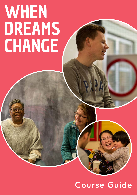### **Course Guide**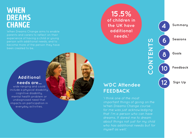When Dreams Change aims to enable parents and carers to reflect on their experience of having a child or young person with additional needs, and to become more of the person they have been created to be.

#### **Additional needs are...**

wide ranging and could include a physical disability, cognitive disability, mental health problem or undiagnosed need that impacts on participation in everyday activities.

**15.5% of children in the UK have additional needs.1**

4<br>6<br>6<br>8 **Sessions** 6 **Goals** 8 **Feedback 10**

**12**

**Summary**

**Sign Up**

**CONTENTS**

CONTENTS

#### **WDC Attendee FEEDBACK**

'I think one of the most important things of going on the When Dreams Change course for me was just acknowledging that I'm a person who can have dreams. It dared me to dream about things not just for my child who has additional needs but for myself as well.'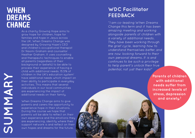**SUMMARY**

**ARNANCE** 

As a charity Growing Hope aims to grow hope for children, hope for families and hope in Jesus across the UK. When Dreams Change was designed by Growing Hope's CEO and children's occupational therapist Dr Naomi Graham and counsellor Heather Graham. It uses counselling and therapeutic techniques to enable all parents (regardless of their background or beliefs) to be able to process their experience of having a child with additional needs. 15.5% of children in the UK's education system<sup>1</sup> have additional needs which impact on their ability to participate in everyday activities. This means that several individuals in our local communities are experiencing the impact of additional needs on their family.

When Dreams Change aims to give parents and carers the opportunity to experience hope in their situations. During the course we hope that parents will be able to reflect on their own experience and the emotions they are experiencing, identify where their support network is and reflect on their own hopes and dreams for the future.

#### **WDC Facilitator FEEDBACK**

"I am co-leading When Dreams Change this term and it has been amazing meeting and working alongside parents of children with a variety of additional needs. They have been working through the grief cycle, learning how to understand themselves better, and are now looking forward to their own personal dreams. It is and continues to be such a privilege to help parent's unlock their true potential, not just their kids!"

> **Parents of children with additional needs suffer from increased levels of stress, depression and anxiety. 2**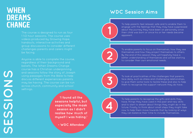The course is designed to run as four 1 1/2 hour sessions. The course uses videos produced by Growing Hope, handouts, interactive activities and group discussions to consider different challenges parents and carers might be facing.

Anyone is able to complete the course, regardless of their background and beliefs. The When Dreams Change course has a Christian underpinning and sessions follow the story of Joseph using passages from the Bible to help discuss different experiences parents may be having. The course can be run settings.

> **'I found all the sessions helpful, but especially the mask session as I didn't realise how much of myself I was hiding.'**

> > **- WDC Attendee**

#### **WDC Session Aims**



To help parents feel relaxed, safe and to enable them to engage with the feelings that they may have suppressed about the journey they have been on personally since their child was born or since his or her needs became apparent.



To enable parents to focus on themselves, how they see themselves and how they project themselves to others. By the end of this session they will hopefully have a better understanding of themselves and will be starting to consider their own emotional needs.

**3**

To look at practicalities of the challenges that parents face daily, such as stress and challenging relationships, to give them some tools to tackle these and also to help them to recognise the support network they do have.



To help parents to recognise the gifts and skills they have, things they have used in the past and new skills and to start to dream about things they might do in the future. Finally, to think about small steps they might take now to help them move towards that by looking at ways they can balance their time to include themselves.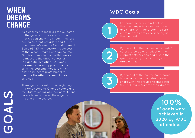As a charity, we measure the outcome of the groups that we run in order that we can show the impact they are having to grant providers and future attendees. We use the Goal Attainment Scale (GAS) 3 to measure the success of the When Dreams Change course. GAS is commonly used within research to measure the effectiveness of therapeutic activities. GAS goals are seen to be an appropriate and sensitive outcome measure which allow healthcare professional to meaure the effectiveness of their services.

Three goals are set at the beginning of the When Dreams Change course and facilitators record whether parents and carers have achieved these goals at the end of the course.

#### **WDC Goals**

For parents/carers to reflect on their own experience and map out and share with the group the core emotions they are experiencing at the moment.



By the end of the course, for parents/ carers to be able to reflect on their support network and share with the group one way in which they can draw on this.



By the end of the course, for a parent to verbalise their own dreams and share with the group one small step they will make towards their dreams.

> **100% of goals were achieved in 2020 by WDC attendees.**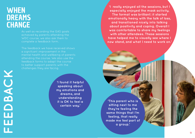As well as recording the GAS goals achieved by parents attending the WDC course, we also ask them to complete a feedback form.

The feedback we have received shows a signifcant improvement in the mental health and wellbeing of parents attending the course. We also use the feedback forms to adapt the course to better support parents with the challenges they are facing.

**FEEDBACK** FEEDBACK

**'I found it helpful speaking about my emotions and dreams, and understanding it is OK to feel a certain way.'**

**'I really enjoyed all the sessions, but I especially enjoyed the mask activity. The format was brilliant: it started emotionally heavy with the talk of loss, and transitioned nicely into talking about positivity and coping. Overall I was comfortable to share my feelings with other attendees. These sessions have helped me to visually see where I now stand, and what I need to work on.'**

**'This parent who is sitting next to me they're feeling the same things that I'm feeling, that really made me feel part of a group.'**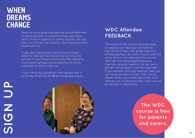Head to www.growinghope.org.uk/wdcreferrals to book yourself or a parent/carer you know onto a local in-person or online course. We can also run courses for schools, churches and other organisations.

If you are interested in becoming a When Dreams Change Facilitator and running the course in your local community then head to www.growinghope.org.uk/training for more information and to sign up.

If you have any questions then please get in touch by emailing: info@growinghope.org.uk

#### **WDC Attendee FEEDBACK**

'Throughout the course we were able to express our feelings and believe me, some of them are quite ugly and embarrassing…I am still in touch with the other Mums who attended the course with me. It is very helpful because having a special needs child can be a gift but some days it can be a burden. If you supress the ugly feelings then you will never be able to heal. The course leader held such a safe space for us to offload our frustrations that I am sure we all started to heal there...'

d<br>D **AIDN NSS** UOCO



**The WDC course is free for parents and carers.**